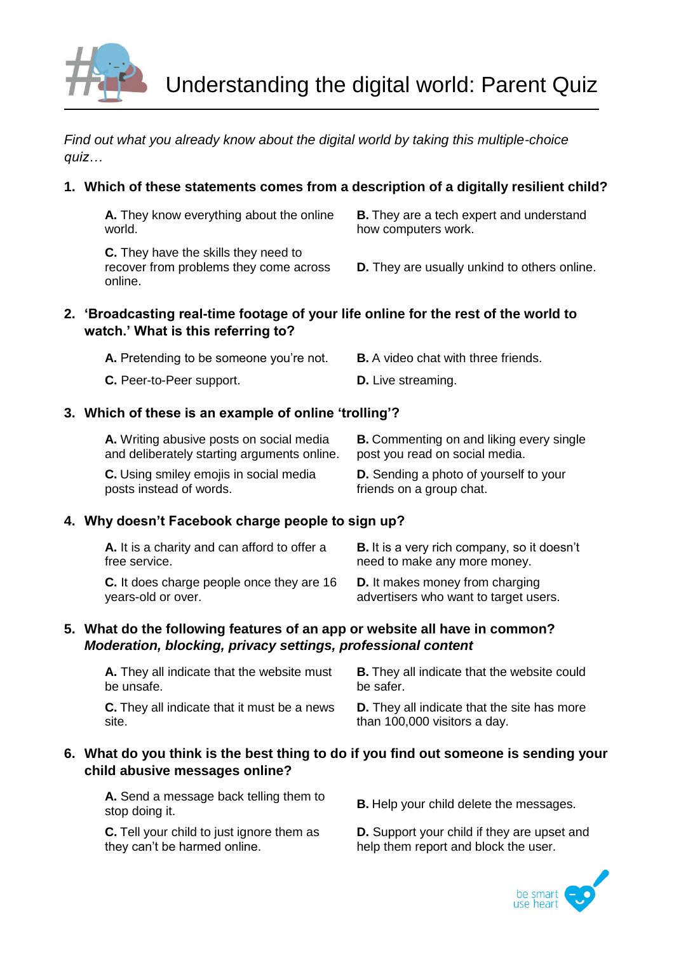

*Find out what you already know about the digital world by taking this multiple-choice quiz…*

## **1. Which of these statements comes from a description of a digitally resilient child?**

**A.** They know everything about the online world.

**C.** They have the skills they need to recover from problems they come across online.

**B.** They are a tech expert and understand how computers work.

**D.** They are usually unkind to others online.

### **2. 'Broadcasting real-time footage of your life online for the rest of the world to watch.' What is this referring to?**

| <b>A.</b> Pretending to be someone you're not. | <b>B.</b> A video chat with three friends. |
|------------------------------------------------|--------------------------------------------|
| C. Peer-to-Peer support.                       | <b>D.</b> Live streaming.                  |

## **3. Which of these is an example of online 'trolling'?**

| A. Writing abusive posts on social media    | <b>B.</b> Commenting on and liking every single |
|---------------------------------------------|-------------------------------------------------|
| and deliberately starting arguments online. | post you read on social media.                  |
| C. Using smiley emojis in social media      | <b>D.</b> Sending a photo of yourself to your   |
| posts instead of words.                     | friends on a group chat.                        |

## **4. Why doesn't Facebook charge people to sign up?**

| A. It is a charity and can afford to offer a | <b>B.</b> It is a very rich company, so it doesn't |
|----------------------------------------------|----------------------------------------------------|
| free service.                                | need to make any more money.                       |
| C. It does charge people once they are 16    | <b>D.</b> It makes money from charging             |
| years-old or over.                           | advertisers who want to target users.              |

## **5. What do the following features of an app or website all have in common?** *Moderation, blocking, privacy settings, professional content*

| A. They all indicate that the website must         | <b>B.</b> They all indicate that the website could |
|----------------------------------------------------|----------------------------------------------------|
| be unsafe.                                         | be safer.                                          |
| <b>C.</b> They all indicate that it must be a news | <b>D.</b> They all indicate that the site has more |
| site.                                              | than 100,000 visitors a day.                       |

### **6. What do you think is the best thing to do if you find out someone is sending your child abusive messages online?**

**A.** Send a message back telling them to A. Send a message back tening them to **B.** Help your child delete the messages.<br>stop doing it.

**C.** Tell your child to just ignore them as they can't be harmed online.

**D.** Support your child if they are upset and help them report and block the user.